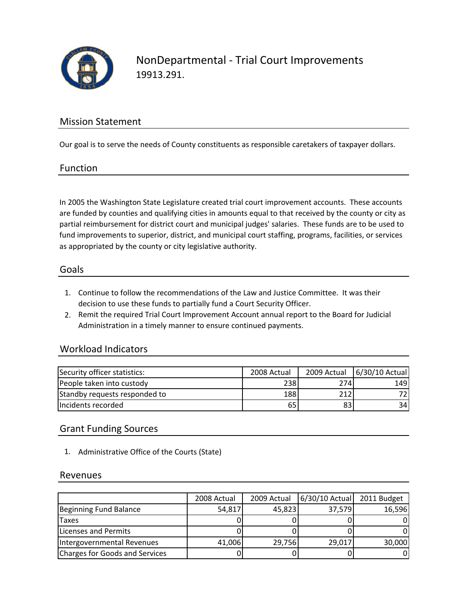

# Mission Statement

Our goal is to serve the needs of County constituents as responsible caretakers of taxpayer dollars.

#### Function

In 2005 the Washington State Legislature created trial court improvement accounts. These accounts are funded by counties and qualifying cities in amounts equal to that received by the county or city as partial reimbursement for district court and municipal judges' salaries. These funds are to be used to fund improvements to superior, district, and municipal court staffing, programs, facilities, or services as appropriated by the county or city legislative authority.

#### Goals

- 1. Continue to follow the recommendations of the Law and Justice Committee. It was their decision to use these funds to partially fund a Court Security Officer.
- 2. Remit the required Trial Court Improvement Account annual report to the Board for Judicial Administration in a timely manner to ensure continued payments.

## Workload Indicators

| Security officer statistics:  | 2008 Actual |      | 2009 Actual 6/30/10 Actual |
|-------------------------------|-------------|------|----------------------------|
| People taken into custody     | 238         | 274I | 149                        |
| Standby requests responded to | 188         | 2121 | 721                        |
| Incidents recorded            | 65          | 831  | 34I                        |

## Grant Funding Sources

1. Administrative Office of the Courts (State)

#### Revenues

|                                | 2008 Actual | 2009 Actual | 6/30/10 Actual | 2011 Budget |
|--------------------------------|-------------|-------------|----------------|-------------|
| Beginning Fund Balance         | 54,817      | 45,823      | 37,579         | 16,596      |
| <b>Taxes</b>                   |             |             |                |             |
| Licenses and Permits           |             |             |                |             |
| Intergovernmental Revenues     | 41,006      | 29,756      | 29,017         | 30,000      |
| Charges for Goods and Services |             |             |                |             |